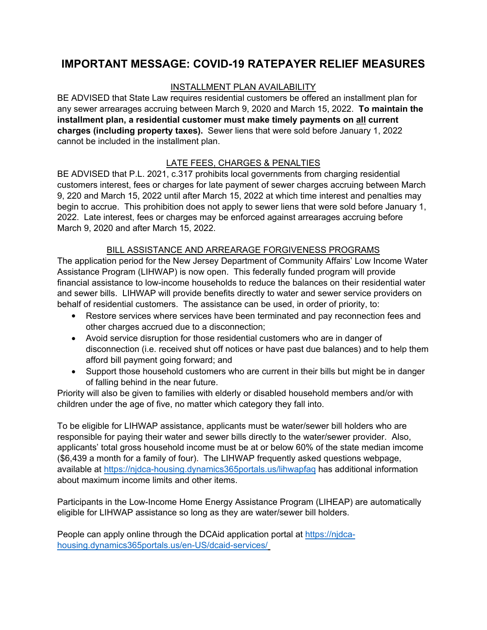## **IMPORTANT MESSAGE: COVID-19 RATEPAYER RELIEF MEASURES**

## INSTALLMENT PLAN AVAILABILITY

BE ADVISED that State Law requires residential customers be offered an installment plan for any sewer arrearages accruing between March 9, 2020 and March 15, 2022. **To maintain the installment plan, a residential customer must make timely payments on all current charges (including property taxes).** Sewer liens that were sold before January 1, 2022 cannot be included in the installment plan.

## LATE FEES, CHARGES & PENALTIES

BE ADVISED that P.L. 2021, c.317 prohibits local governments from charging residential customers interest, fees or charges for late payment of sewer charges accruing between March 9, 220 and March 15, 2022 until after March 15, 2022 at which time interest and penalties may begin to accrue. This prohibition does not apply to sewer liens that were sold before January 1, 2022. Late interest, fees or charges may be enforced against arrearages accruing before March 9, 2020 and after March 15, 2022.

## BILL ASSISTANCE AND ARREARAGE FORGIVENESS PROGRAMS

The application period for the New Jersey Department of Community Affairs' Low Income Water Assistance Program (LIHWAP) is now open. This federally funded program will provide financial assistance to low-income households to reduce the balances on their residential water and sewer bills. LIHWAP will provide benefits directly to water and sewer service providers on behalf of residential customers. The assistance can be used, in order of priority, to:

- Restore services where services have been terminated and pay reconnection fees and other charges accrued due to a disconnection;
- Avoid service disruption for those residential customers who are in danger of disconnection (i.e. received shut off notices or have past due balances) and to help them afford bill payment going forward; and
- Support those household customers who are current in their bills but might be in danger of falling behind in the near future.

Priority will also be given to families with elderly or disabled household members and/or with children under the age of five, no matter which category they fall into.

To be eligible for LIHWAP assistance, applicants must be water/sewer bill holders who are responsible for paying their water and sewer bills directly to the water/sewer provider. Also, applicants' total gross household income must be at or below 60% of the state median imcome (\$6,439 a month for a family of four). The LIHWAP frequently asked questions webpage, available at https://njdca-housing.dynamics365portals.us/lihwapfaq has additional information about maximum income limits and other items.

Participants in the Low-Income Home Energy Assistance Program (LIHEAP) are automatically eligible for LIHWAP assistance so long as they are water/sewer bill holders.

People can apply online through the DCAid application portal at https://njdcahousing.dynamics365portals.us/en-US/dcaid-services/